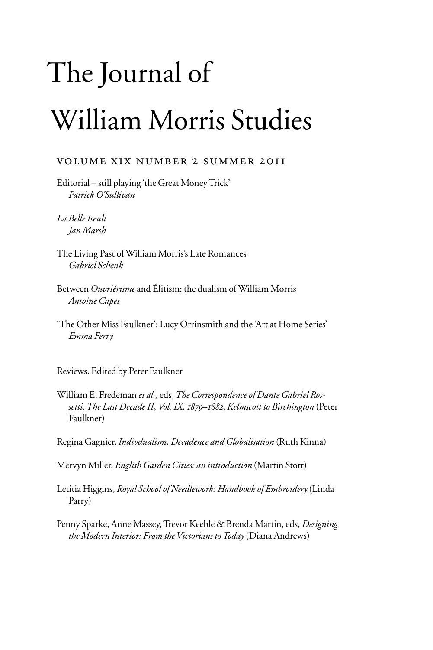## The Journal of William Morris Studies

## volume xix number 2 summer 2011

Editorial – still playing 'the Great Money Trick' *Patrick O'Sullivan*

*La Belle Iseult Jan Marsh*

The Living Past of William Morris's Late Romances *Gabriel Schenk*

- Between *Ouvriérisme* and Élitism: the dualism of William Morris *Antoine Capet*
- 'The Other Miss Faulkner': Lucy Orrinsmith and the 'Art at Home Series' *Emma Ferry*

Reviews. Edited by Peter Faulkner

William E. Fredeman *et al.,* eds, *The Correspondence of Dante Gabriel Rossetti. The Last Decade II*, *Vol. IX, 1879–1882, Kelmscott to Birchington* (Peter Faulkner)

Regina Gagnier, *Indivdualism, Decadence and Globalisation* (Ruth Kinna)

Mervyn Miller, *English Garden Cities: an introduction* (Martin Stott)

Letitia Higgins, *Royal School of Needlework: Handbook of Embroidery* (Linda Parry)

Penny Sparke, Anne Massey, Trevor Keeble & Brenda Martin, eds, *Designing the Modern Interior: From the Victorians to Today* (Diana Andrews)